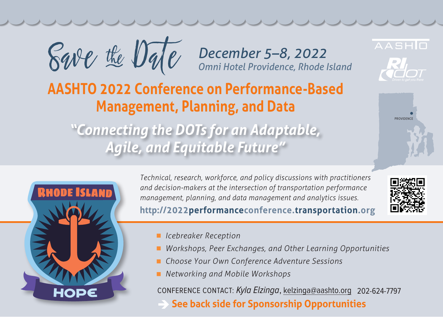

*December 5–8, 2022 Omni Hotel Providence, Rhode Island*

## **AASHTO 2022 Conference on Performance-Based Management, Planning, and Data**

*"Connecting the DOTs for an Adaptable, Agile, and Equitable Future"*



*Technical, research, workforce, and policy discussions with practitioners and decision-makers at the intersection of transportation performance management, planning, and data management and analytics issues.* **<http://2022performanceconference.transportation.org>**



**PROVIDENCE** 

**AASHIO** 

- *Icebreaker Reception*
- *Workshops, Peer Exchanges, and Other Learning Opportunities*
- *Choose Your Own Conference Adventure Sessions*
- *Networking and Mobile Workshops*

CONFERENCE CONTACT: Kyla Elzinga, kelzinga@aashto.org 202-624-7797

**See back side for Sponsorship Opportunities**